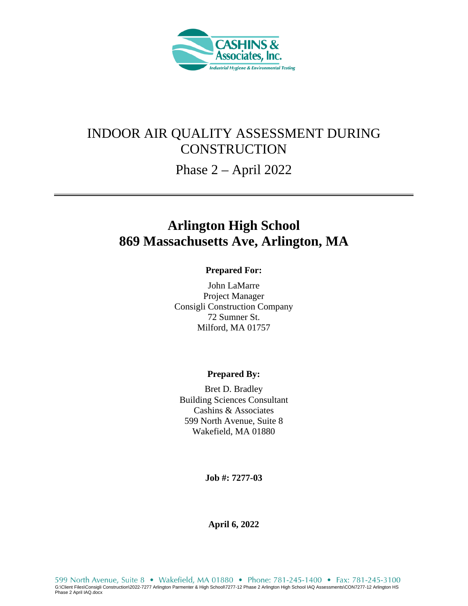

## INDOOR AIR QUALITY ASSESSMENT DURING **CONSTRUCTION**

Phase 2 – April 2022

# **Arlington High School 869 Massachusetts Ave, Arlington, MA**

#### **Prepared For:**

John LaMarre Project Manager Consigli Construction Company 72 Sumner St. Milford, MA 01757

#### **Prepared By:**

Bret D. Bradley Building Sciences Consultant Cashins & Associates 599 North Avenue, Suite 8 Wakefield, MA 01880

**Job #: 7277-03** 

**April 6, 2022**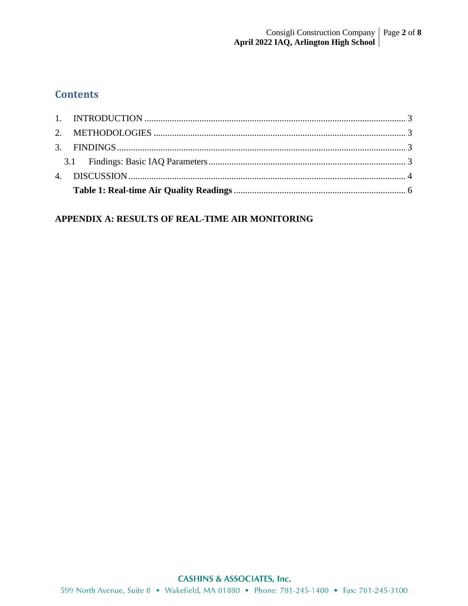## **Contents**

#### APPENDIX A: RESULTS OF REAL-TIME AIR MONITORING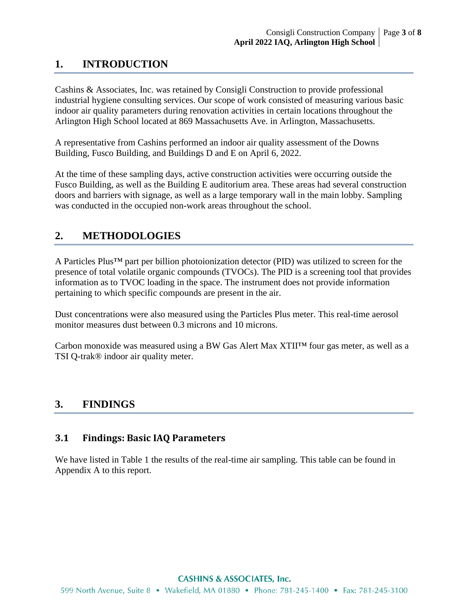## **1. INTRODUCTION**

Cashins & Associates, Inc. was retained by Consigli Construction to provide professional industrial hygiene consulting services. Our scope of work consisted of measuring various basic indoor air quality parameters during renovation activities in certain locations throughout the Arlington High School located at 869 Massachusetts Ave. in Arlington, Massachusetts.

A representative from Cashins performed an indoor air quality assessment of the Downs Building, Fusco Building, and Buildings D and E on April 6, 2022.

At the time of these sampling days, active construction activities were occurring outside the Fusco Building, as well as the Building E auditorium area. These areas had several construction doors and barriers with signage, as well as a large temporary wall in the main lobby. Sampling was conducted in the occupied non-work areas throughout the school.

### **2. METHODOLOGIES**

A Particles Plus™ part per billion photoionization detector (PID) was utilized to screen for the presence of total volatile organic compounds (TVOCs). The PID is a screening tool that provides information as to TVOC loading in the space. The instrument does not provide information pertaining to which specific compounds are present in the air.

Dust concentrations were also measured using the Particles Plus meter. This real-time aerosol monitor measures dust between 0.3 microns and 10 microns.

Carbon monoxide was measured using a BW Gas Alert Max  $XTII^{TM}$  four gas meter, as well as a TSI Q-trak® indoor air quality meter.

#### **3. FINDINGS**

#### **3.1 Findings: Basic IAQ Parameters**

We have listed in Table 1 the results of the real-time air sampling. This table can be found in Appendix A to this report.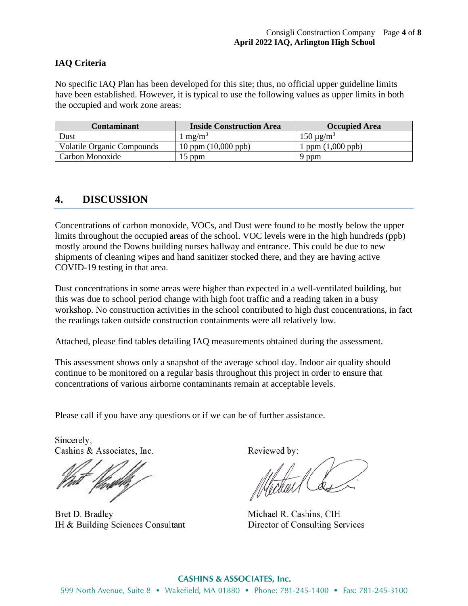#### **IAQ Criteria**

No specific IAQ Plan has been developed for this site; thus, no official upper guideline limits have been established. However, it is typical to use the following values as upper limits in both the occupied and work zone areas:

| Contaminant                       | <b>Inside Construction Area</b> | <b>Occupied Area</b>      |
|-----------------------------------|---------------------------------|---------------------------|
| Dust                              | $1 \text{ mg/m}^3$              | $150 \mu g/m^3$           |
| <b>Volatile Organic Compounds</b> | $10$ ppm $(10,000$ ppb)         | ppm $(1,000 \text{ ppb})$ |
| Carbon Monoxide                   | 15 ppm                          | 9 ppm                     |

#### **4. DISCUSSION**

Concentrations of carbon monoxide, VOCs, and Dust were found to be mostly below the upper limits throughout the occupied areas of the school. VOC levels were in the high hundreds (ppb) mostly around the Downs building nurses hallway and entrance. This could be due to new shipments of cleaning wipes and hand sanitizer stocked there, and they are having active COVID-19 testing in that area.

Dust concentrations in some areas were higher than expected in a well-ventilated building, but this was due to school period change with high foot traffic and a reading taken in a busy workshop. No construction activities in the school contributed to high dust concentrations, in fact the readings taken outside construction containments were all relatively low.

Attached, please find tables detailing IAQ measurements obtained during the assessment.

This assessment shows only a snapshot of the average school day. Indoor air quality should continue to be monitored on a regular basis throughout this project in order to ensure that concentrations of various airborne contaminants remain at acceptable levels.

Please call if you have any questions or if we can be of further assistance.

Sincerely. Cashins & Associates, Inc.

Bret D. Bradley IH & Building Sciences Consultant

Reviewed by:

fekal (

Michael R. Cashins, CIH Director of Consulting Services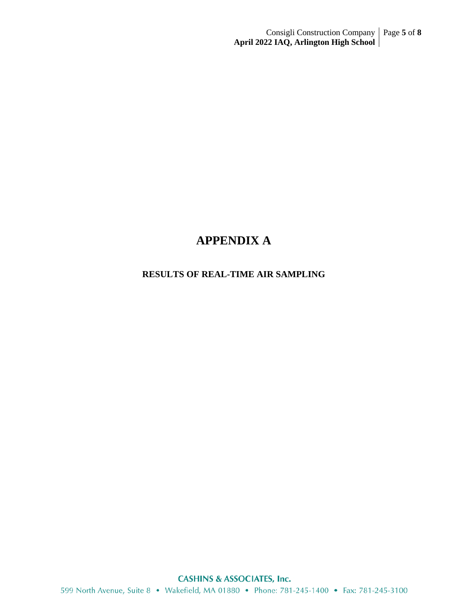## **APPENDIX A**

#### **RESULTS OF REAL-TIME AIR SAMPLING**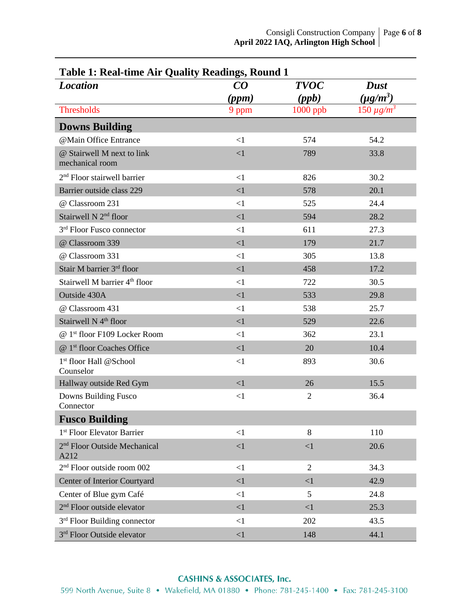| Table 1: Real-time Air Quality Readings, Round 1 |          |                |                   |  |  |
|--------------------------------------------------|----------|----------------|-------------------|--|--|
| <b>Location</b>                                  | CO       | <b>TVOC</b>    | <b>Dust</b>       |  |  |
|                                                  | (ppm)    | (ppb)          | $(\mu g/m^3)$     |  |  |
| <b>Thresholds</b>                                | 9 ppm    | $1000$ ppb     | $150 \,\mu g/m^3$ |  |  |
| <b>Downs Building</b>                            |          |                |                   |  |  |
| @Main Office Entrance                            | $\leq$ 1 | 574            | 54.2              |  |  |
| @ Stairwell M next to link<br>mechanical room    | <1       | 789            | 33.8              |  |  |
| 2 <sup>nd</sup> Floor stairwell barrier          | <1       | 826            | 30.2              |  |  |
| Barrier outside class 229                        | $\leq$ 1 | 578            | 20.1              |  |  |
| @ Classroom 231                                  | $\leq$ 1 | 525            | 24.4              |  |  |
| Stairwell N 2 <sup>nd</sup> floor                | $\leq$ 1 | 594            | 28.2              |  |  |
| 3rd Floor Fusco connector                        | $\leq$ 1 | 611            | 27.3              |  |  |
| @ Classroom 339                                  | <1       | 179            | 21.7              |  |  |
| @ Classroom 331                                  | <1       | 305            | 13.8              |  |  |
| Stair M barrier 3rd floor                        | <1       | 458            | 17.2              |  |  |
| Stairwell M barrier 4 <sup>th</sup> floor        | $\leq$ 1 | 722            | 30.5              |  |  |
| Outside 430A                                     | $\leq$ 1 | 533            | 29.8              |  |  |
| @ Classroom 431                                  | $\leq$ 1 | 538            | 25.7              |  |  |
| Stairwell N 4 <sup>th</sup> floor                | $\leq$ 1 | 529            | 22.6              |  |  |
| @ 1st floor F109 Locker Room                     | $\leq$ 1 | 362            | 23.1              |  |  |
| @ 1 <sup>st</sup> floor Coaches Office           | $\leq$ 1 | 20             | 10.4              |  |  |
| 1 <sup>st</sup> floor Hall @School<br>Counselor  | $\leq$ 1 | 893            | 30.6              |  |  |
| Hallway outside Red Gym                          | $\leq$ 1 | 26             | 15.5              |  |  |
| Downs Building Fusco<br>Connector                | $\leq$ 1 | $\overline{2}$ | 36.4              |  |  |
| <b>Fusco Building</b>                            |          |                |                   |  |  |
| 1 <sup>st</sup> Floor Elevator Barrier           | <1       | 8              | 110               |  |  |
| 2 <sup>nd</sup> Floor Outside Mechanical<br>A212 | <1       | $\leq$ 1       | 20.6              |  |  |
| 2 <sup>nd</sup> Floor outside room 002           | $\leq$ 1 | $\overline{2}$ | 34.3              |  |  |
| Center of Interior Courtyard                     | $\leq$ 1 | <1             | 42.9              |  |  |
| Center of Blue gym Café                          | <1       | 5              | 24.8              |  |  |
| 2 <sup>nd</sup> Floor outside elevator           | $\leq$ 1 | $\leq$ 1       | 25.3              |  |  |
| 3 <sup>rd</sup> Floor Building connector         | $\leq$ 1 | 202            | 43.5              |  |  |
| 3rd Floor Outside elevator                       | <1       | 148            | 44.1              |  |  |

### **Table 1: Real-time Air Quality Readings, Round 1**

#### **CASHINS & ASSOCIATES, Inc.**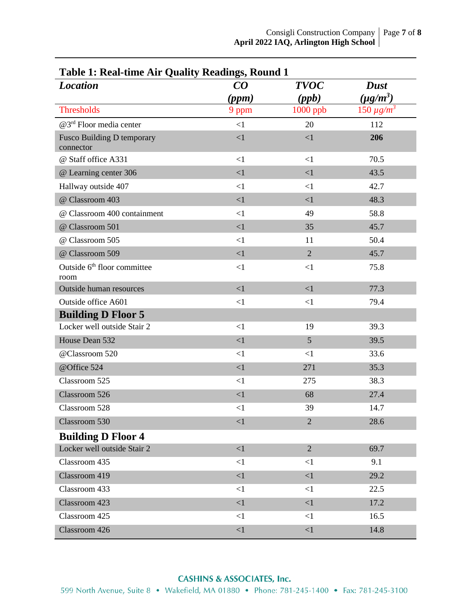| Table 1: Real-time Air Quality Readings, Round 1<br><b>Location</b> | CO       | <b>TVOC</b>     | <b>Dust</b>       |
|---------------------------------------------------------------------|----------|-----------------|-------------------|
|                                                                     | (ppm)    | (ppb)           | $(\mu g/m^3)$     |
| <b>Thresholds</b>                                                   | 9 ppm    | 1000 ppb        | $150 \,\mu g/m^3$ |
| @3 <sup>rd</sup> Floor media center                                 | <1       | 20              | 112               |
| <b>Fusco Building D temporary</b><br>connector                      | <1       | $<1\,$          | 206               |
| @ Staff office A331                                                 | <1       | $\leq$ 1        | 70.5              |
| @ Learning center 306                                               | <1       | $\leq$ 1        | 43.5              |
| Hallway outside 407                                                 | $\leq$ 1 | $\leq$ 1        | 42.7              |
| @ Classroom 403                                                     | <1       | $\leq$ 1        | 48.3              |
| @ Classroom 400 containment                                         | $\leq$ 1 | 49              | 58.8              |
| @ Classroom 501                                                     | <1       | 35              | 45.7              |
| @ Classroom 505                                                     | <1       | 11              | 50.4              |
| @ Classroom 509                                                     | <1       | $\overline{2}$  | 45.7              |
| Outside 6 <sup>th</sup> floor committee<br>room                     | $\leq$ 1 | $\leq$ 1        | 75.8              |
| Outside human resources                                             | <1       | <1              | 77.3              |
| Outside office A601                                                 | $\leq$ 1 | <1              | 79.4              |
| <b>Building D Floor 5</b>                                           |          |                 |                   |
| Locker well outside Stair 2                                         | $\leq$ 1 | 19              | 39.3              |
| House Dean 532                                                      | <1       | $5\phantom{.0}$ | 39.5              |
| @Classroom 520                                                      | <1       | <1              | 33.6              |
| @Office 524                                                         | <1       | 271             | 35.3              |
| Classroom 525                                                       | $\leq$ 1 | 275             | 38.3              |
| Classroom 526                                                       | <1       | 68              | 27.4              |
| Classroom 528                                                       | $\leq$ 1 | 39              | 14.7              |
| Classroom 530                                                       | $\leq$ 1 | $\overline{2}$  | 28.6              |
| <b>Building D Floor 4</b>                                           |          |                 |                   |
| Locker well outside Stair 2                                         | $\leq$ 1 | $\overline{2}$  | 69.7              |
| Classroom 435                                                       | <1       | $<$ 1           | 9.1               |
| Classroom 419                                                       | <1       | $\leq$ 1        | 29.2              |
| Classroom 433                                                       | <1       | <1              | 22.5              |
| Classroom 423                                                       | <1       | <1              | 17.2              |
| Classroom 425                                                       | $\leq$ 1 | $\leq$ 1        | 16.5              |
| Classroom 426                                                       | $<1\,$   | $\leq$ 1        | 14.8              |

## **Table 1: Real-time Air Quality Readings, Round 1**